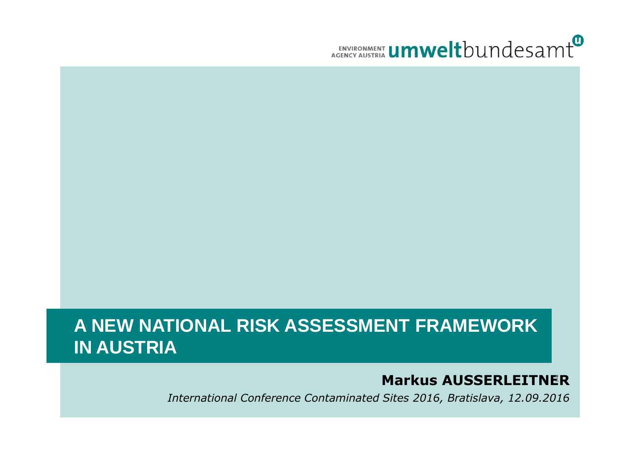

#### **A NEW NATIONAL RISK ASSESSMENT FRAMEWORK IN AUSTRIA**

#### **Markus AUSSERLEITNER**1

International Conference Contaminated Sites 2016, Bratislava, 12.09.2016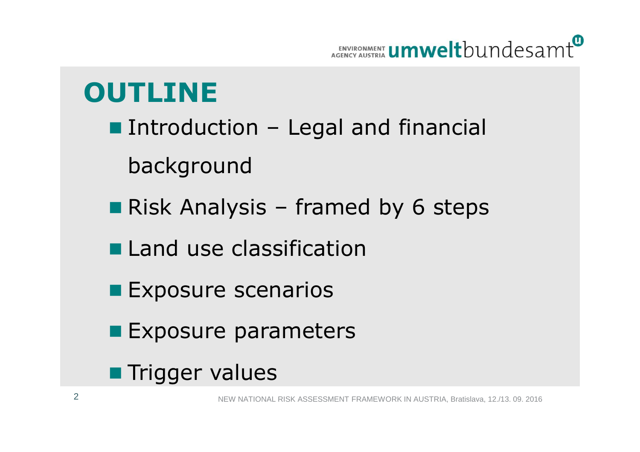

#### **OUTLINE**

- Introduction Legal and financial background
- Risk Analysis framed by 6 steps
- **Land use classification**
- **Exposure scenarios**
- **Exposure parameters**
- **Trigger values**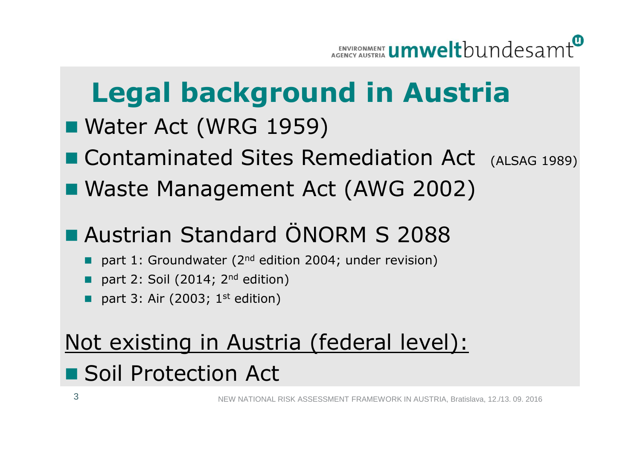

## **Legal background in Austria**

- Water Act (WRG 1959)
- **Contaminated Sites Remediation Act** (ALSAG 1989)
- Waste Management Act (AWG 2002)
- kan.<br>Kabupatèn **Austrian Standard ÖNORM S 2088** 
	- part 1: Groundwater (2<sup>nd</sup> edition 2004; under revision)
	- part 2: Soil (2014;  $2<sup>nd</sup>$  edition)
	- r. part 3: Air (2003;  $1<sup>st</sup>$  edition)

# Not existing in Austria (federal level):

## **Soil Protection Act**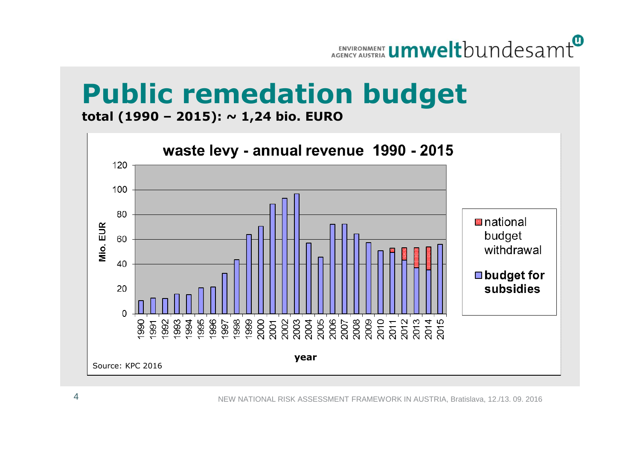

## **Public remedation budget**

**total (1990 – 2015): ~ 1,24 bio. EURO**

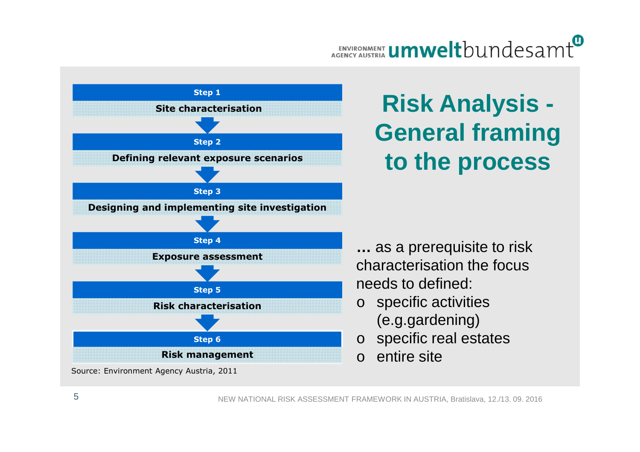#### ENVIRONMENT **Umwelt**bundesamt



#### **Risk Analysis -General framing to the process**

**…** as a prerequisite to risk characterisation the focusneeds to defined:

- o specific activities (e.g.gardening)
- ospecific real estates
- $\Omega$ entire site

Source: Environment Agency Austria, 2011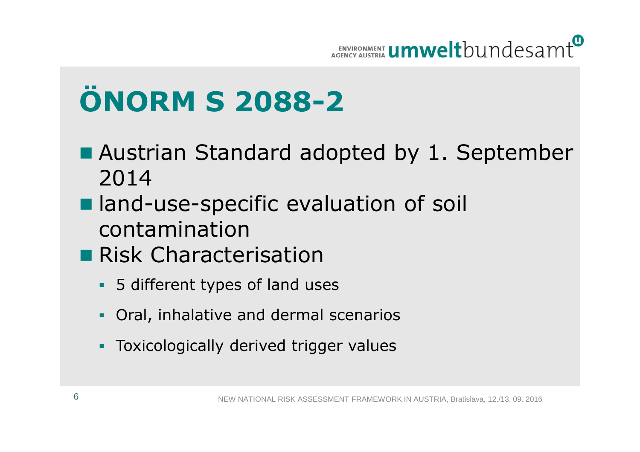

# **ÖNORM S 2088-2**

- Austrian Standard adopted by 1. September 2014
- land-use-specific evaluation of soil contamination
- **Risk Characterisation** 
	- 5 different types of land uses
	- -Oral, inhalative and dermal scenarios
	- -Toxicologically derived trigger values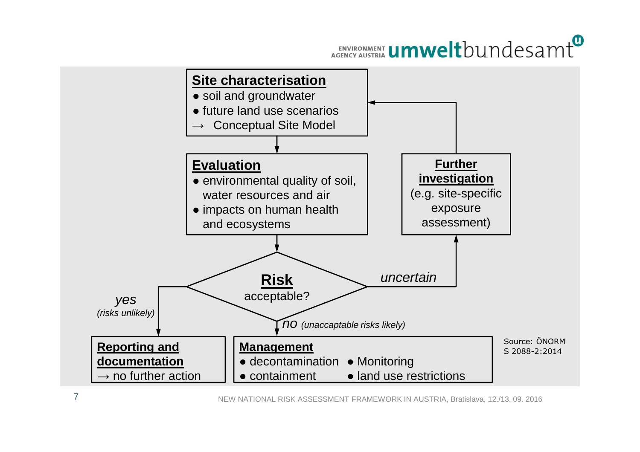#### ENVIRONMENT **UMWelt**bundesamt

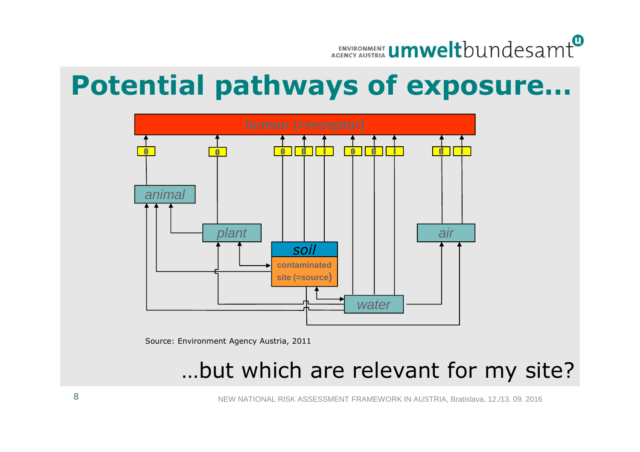

#### **Potential pathways of exposure…**



Source: Environment Agency Austria, 2011

#### …but which are relevant for my site?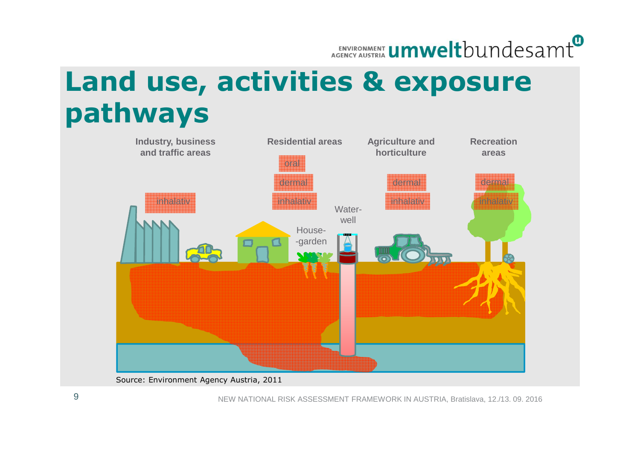#### ENVIRONMENT **Umwelt**bundesamt

### **Land use, activities & exposure pathways**

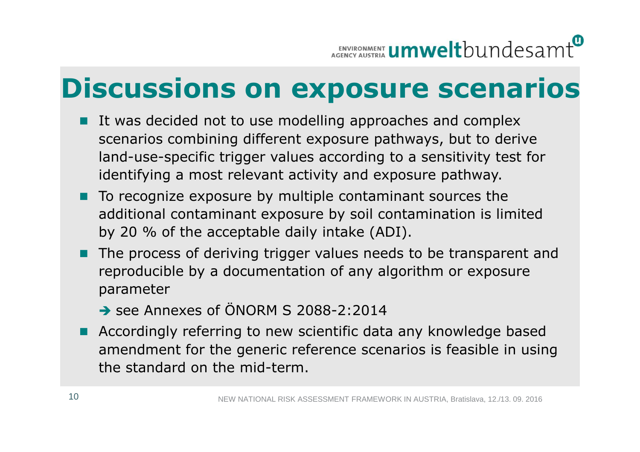### **Discussions on exposure scenarios**

- It was decided not to use modelling approaches and complex scenarios combining different exposure pathways, but to derive land-use-specific trigger values according to a sensitivity test for identifying a most relevant activity and exposure pathway.
- $\blacksquare$  To recognize exposure by multiple contaminant sources the additional contaminant exposure by soil contamination is limited by 20 % of the acceptable daily intake (ADI).
- M. The process of deriving trigger values needs to be transparent and reproducible by a documentation of any algorithm or exposure parameter
	- See Annexes of ÖNORM S 2088-2:2014
- **Accordingly referring to new scientific data any knowledge based** amendment for the generic reference scenarios is feasible in using the standard on the mid-term.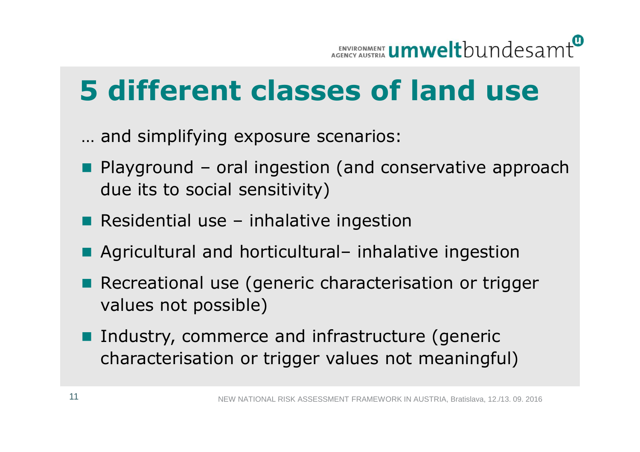## **5 different classes of land use**

… and simplifying exposure scenarios:

- **Playground oral ingestion (and conservative approach due its to social sensitivity)** due its to social sensitivity)
- **Residential use** –– inhalative ingestion
- Agricultural and horticultural– inhalative ingestion
- T Recreational use (generic characterisation or trigger values not possible)
- Industry, commerce and infrastructure (generic characterisation or trigger values not meaningful)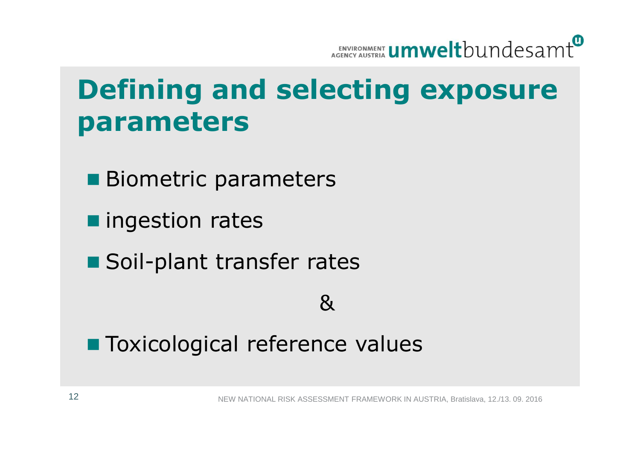

### **Defining and selecting exposure parameters**

- **Biometric parameters**
- **n** ingestion rates
- **Soil-plant transfer rates**

#### &

## ■ Toxicological reference values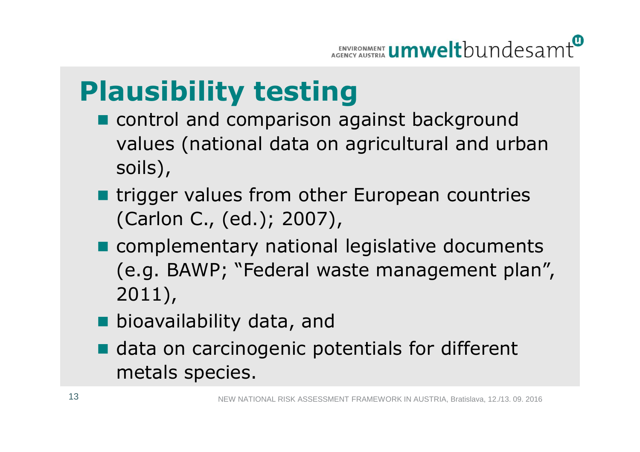### **Plausibility testing**

- control and comparison against background values (national data on agricultural and urban soils),
- trigger values from other European countries (Carlon C., (ed.); 2007),
- **n** complementary national legislative documents (e.g. BAWP; "Federal waste management plan", 2011),
- bioavailability data, and
- data on carcinogenic potentials for different metals species.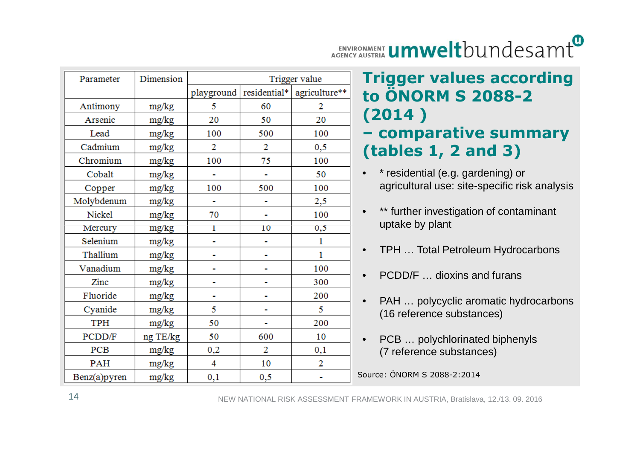#### ENVIRONMENT **Umwelt**bundesamt

| Parameter    | Dimension | Trigger value |          |                              |
|--------------|-----------|---------------|----------|------------------------------|
|              |           | playground    |          | residential*   agriculture** |
| Antimony     | mg/kg     | 5             | 60       | 2                            |
| Arsenic      | mg/kg     | 20            | 50       | 20                           |
| Lead         | mg/kg     | 100           | 500      | 100                          |
| Cadmium      | mg/kg     | 2             | 2        | $_{0,5}$                     |
| Chromium     | mg/kg     | 100           | 75       | 100                          |
| Cobalt       | mg/kg     |               |          | 50                           |
| Copper       | mg/kg     | 100           | 500      | 100                          |
| Molybdenum   | mg/kg     |               |          | 2,5                          |
| Nickel       | mg/kg     | 70            |          | 100                          |
| Mercury      | mg/kg     | 1             | 10       | $_{0,5}$                     |
| Selenium     | mg/kg     |               |          | 1                            |
| Thallium     | mg/kg     |               |          | 1                            |
| Vanadium     | mg/kg     |               |          | 100                          |
| Zinc         | mg/kg     |               |          | 300                          |
| Fluoride     | mg/kg     |               |          | 200                          |
| Cyanide      | mg/kg     | 5             |          | 5                            |
| <b>TPH</b>   | mg/kg     | 50            |          | 200                          |
| PCDD/F       | ng TE/kg  | 50            | 600      | 10                           |
| PCB          | mg/kg     | $_{0,2}$      | 2        | 0,1                          |
| PAH          | mg/kg     | 4             | 10       | 2                            |
| Benz(a)pyren | mg/kg     | $_{0,1}$      | $_{0,5}$ |                              |

#### **Trigger values according to ÖNORM S 2088-2 (2014 )– comparative summary**

#### • \* residential (e.g. gardening) or agricultural use: site-specific risk analysis**(tables 1, 2 and 3)**

- •\*\* further investigation of contaminant uptake by plant
- •TPH … Total Petroleum Hydrocarbons
- •PCDD/F … dioxins and furans
- • PAH … polycyclic aromatic hydrocarbons (16 reference substances)
- • PCB … polychlorinated biphenyls (7 reference substances)

Source: ÖNORM S 2088-2:2014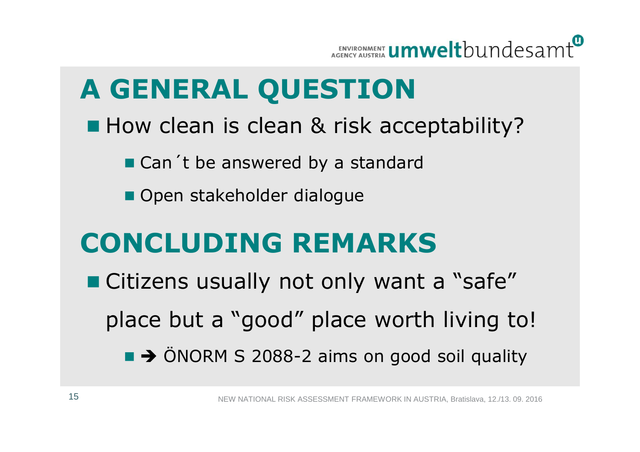

### **A GENERAL QUESTION**

- How clean is clean & risk acceptability?
	- Can't be answered by a standard
	- Open stakeholder dialogue

#### **CONCLUDING REMARKS**

■ Citizens usually not only want a "safe" place but a "good" place worth living to! $\rightarrow$  ÖNORM S 2088-2 aims on good soil quality